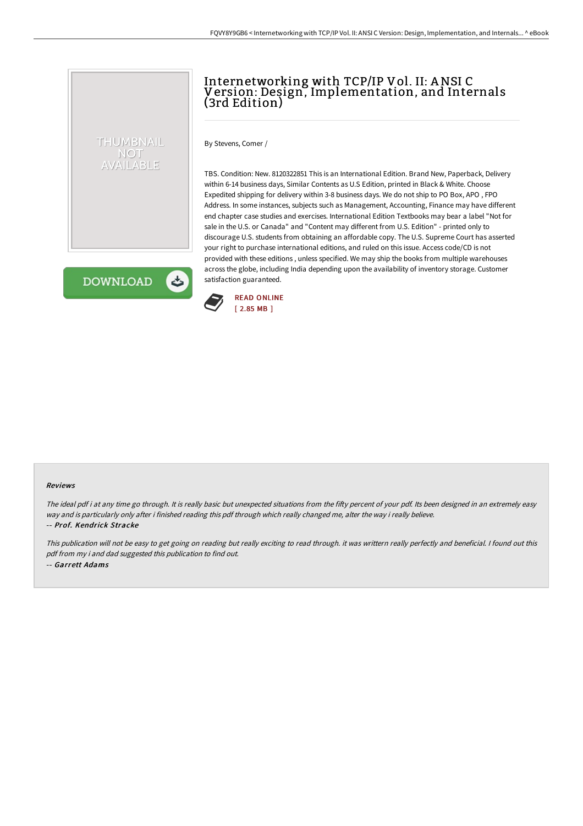# Internetworking with TCP/IP Vol. II: ANSI C Version: Design, Implementation, and Internals (3rd Edition)

By Stevens, Comer /

TBS. Condition: New. 8120322851 This is an International Edition. Brand New, Paperback, Delivery within 6-14 business days, Similar Contents as U.S Edition, printed in Black & White. Choose Expedited shipping for delivery within 3-8 business days. We do not ship to PO Box, APO , FPO Address. In some instances, subjects such as Management, Accounting, Finance may have different end chapter case studies and exercises. International Edition Textbooks may bear a label "Not for sale in the U.S. or Canada" and "Content may different from U.S. Edition" - printed only to discourage U.S. students from obtaining an affordable copy. The U.S. Supreme Court has asserted your right to purchase international editions, and ruled on this issue. Access code/CD is not provided with these editions , unless specified. We may ship the books from multiple warehouses across the globe, including India depending upon the availability of inventory storage. Customer satisfaction guaranteed.

**DOWNLOAD** 

 $\blacktriangleright$ 

THUMBNAIL NOT AVAILABLE



#### Reviews

The ideal pdf i at any time go through. It is really basic but unexpected situations from the fifty percent of your pdf. Its been designed in an extremely easy way and is particularly only after i finished reading this pdf through which really changed me, alter the way i really believe. -- Prof. Kendrick Stracke

This publication will not be easy to get going on reading but really exciting to read through. it was writtern really perfectly and beneficial. <sup>I</sup> found out this pdf from my i and dad suggested this publication to find out. -- Garrett Adams